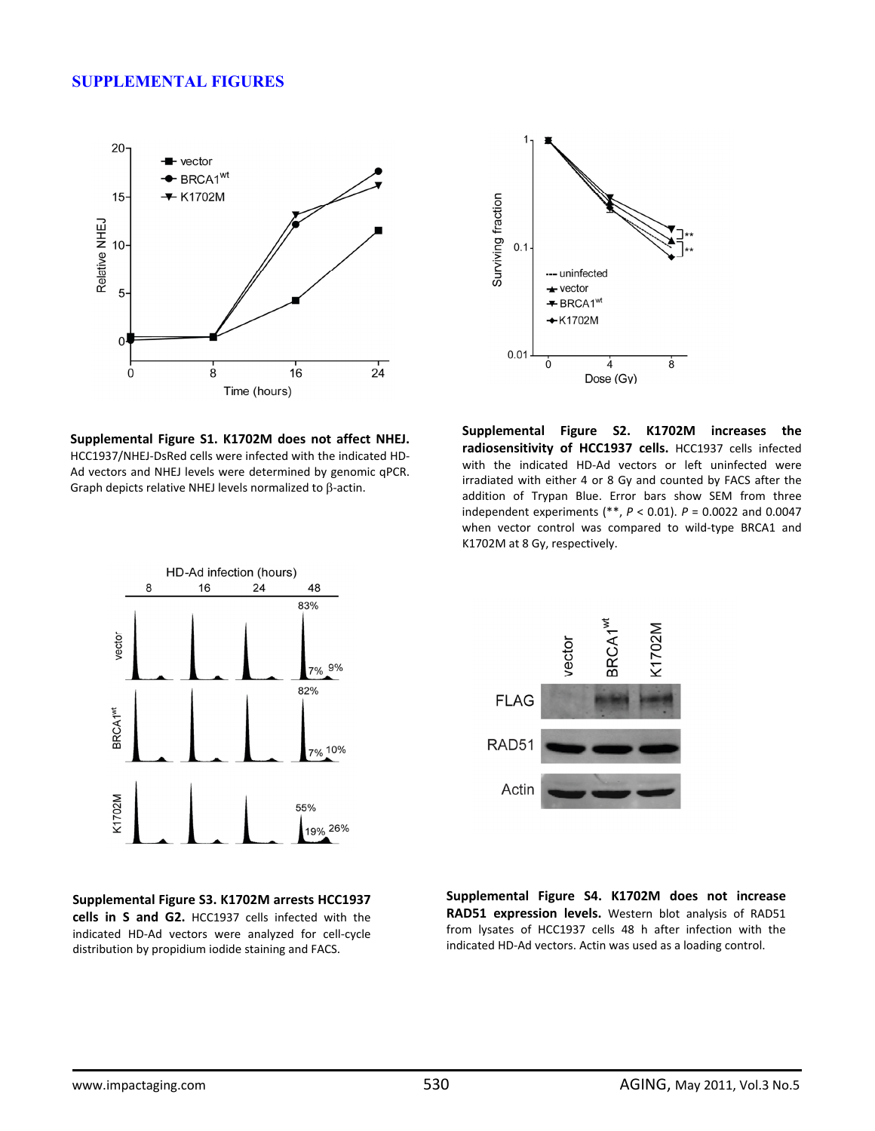## **SUPPLEMENTAL FIGURES**





**Supplemental Figure S1. K1702M does not affect NHEJ.** HCC1937/NHEJ‐DsRed cells were infected with the indicated HD‐ Ad vectors and NHEJ levels were determined by genomic qPCR. Graph depicts relative NHEJ levels normalized to β‐actin.

**Supplemental Figure S2. K1702M increases the radiosensitivity of HCC1937 cells.** HCC1937 cells infected with the indicated HD-Ad vectors or left uninfected were irradiated with either 4 or 8 Gy and counted by FACS after the addition of Trypan Blue. Error bars show SEM from three independent experiments (\*\*, *P* < 0.01). *P* = 0.0022 and 0.0047 when vector control was compared to wild-type BRCA1 and K1702M at 8 Gy, respectively.



**Supplemental Figure S3. K1702M arrests HCC1937 cells in S and G2.** HCC1937 cells infected with the indicated HD‐Ad vectors were analyzed for cell‐cycle distribution by propidium iodide staining and FACS.



**Supplemental Figure S4. K1702M does not increase RAD51 expression levels.** Western blot analysis of RAD51 from lysates of HCC1937 cells 48 h after infection with the indicated HD‐Ad vectors. Actin was used as a loading control.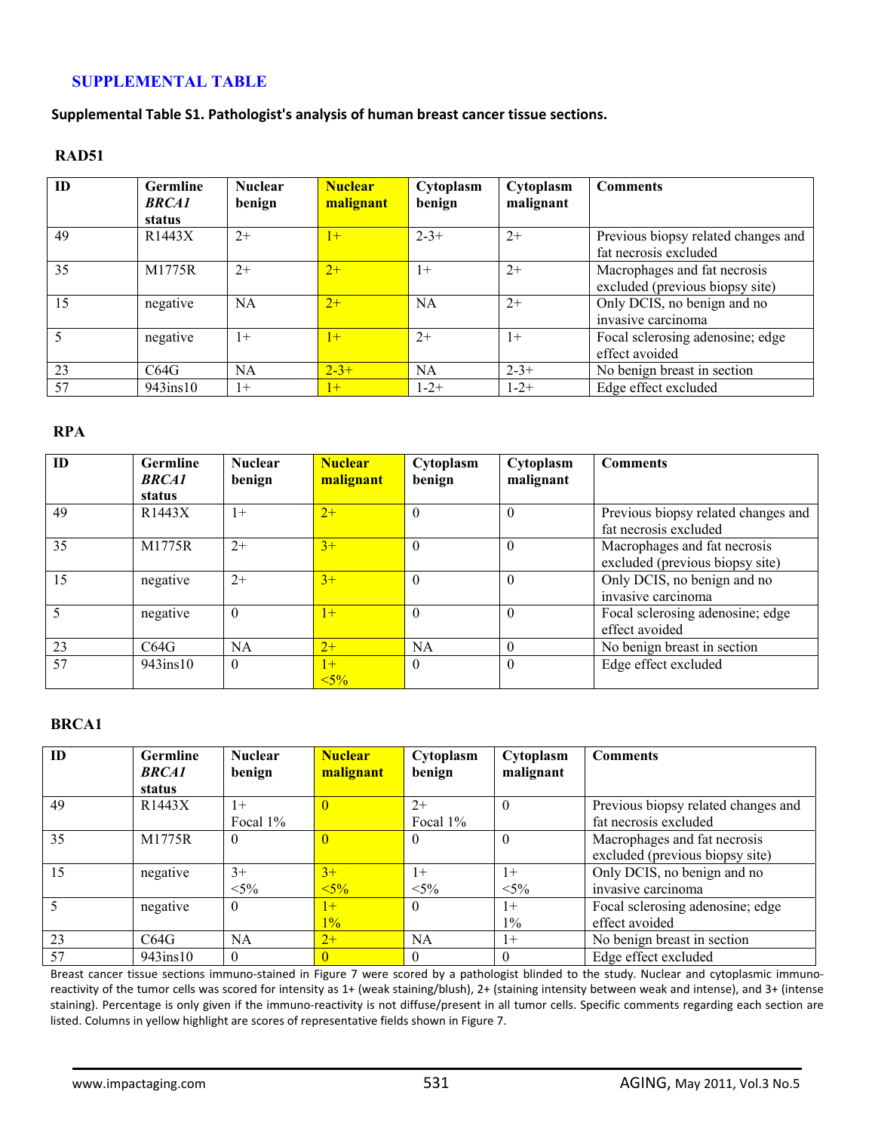# **SUPPLEMENTAL TABLE**

**Supplemental Table S1. Pathologist's analysis of human breast cancer tissue sections.**

### **RAD51**

| ID | <b>Germline</b><br><b>BRCA1</b> | <b>Nuclear</b><br>benign | <b>Nuclear</b><br>malignant | Cytoplasm<br>benign | Cytoplasm<br>malignant | <b>Comments</b>                                                 |
|----|---------------------------------|--------------------------|-----------------------------|---------------------|------------------------|-----------------------------------------------------------------|
|    | status                          |                          |                             |                     |                        |                                                                 |
| 49 | R1443X                          | $2+$                     | $1+$                        | $2 - 3 +$           | $2+$                   | Previous biopsy related changes and<br>fat necrosis excluded    |
| 35 | M1775R                          | $2+$                     | $2+$                        | $1+$                | $2+$                   | Macrophages and fat necrosis<br>excluded (previous biopsy site) |
| 15 | negative                        | <b>NA</b>                | $2+$                        | <b>NA</b>           | $2+$                   | Only DCIS, no benign and no<br>invasive carcinoma               |
|    | negative                        | $1+$                     | $1+$                        | $2+$                | $1+$                   | Focal sclerosing adenosine; edge<br>effect avoided              |
| 23 | C64G                            | <b>NA</b>                | $2 - 3 +$                   | <b>NA</b>           | $2 - 3 +$              | No benign breast in section                                     |
| 57 | $943$ ins $10$                  | $1+$                     | $1+$                        | $1 - 2 +$           | $1 - 2 +$              | Edge effect excluded                                            |

### **RPA**

| ID | <b>Germline</b><br><b>BRCA1</b><br>status | <b>Nuclear</b><br>benign | <b>Nuclear</b><br>malignant | Cytoplasm<br>benign | Cytoplasm<br>malignant | <b>Comments</b>                                                 |
|----|-------------------------------------------|--------------------------|-----------------------------|---------------------|------------------------|-----------------------------------------------------------------|
| 49 | R1443X                                    | $1+$                     | $2+$                        | $\theta$            | $\Omega$               | Previous biopsy related changes and<br>fat necrosis excluded    |
| 35 | M1775R                                    | $2+$                     | $3+$                        | $\Omega$            | $\Omega$               | Macrophages and fat necrosis<br>excluded (previous biopsy site) |
| 15 | negative                                  | $2+$                     | $3+$                        | $\Omega$            | $\Omega$               | Only DCIS, no benign and no<br>invasive carcinoma               |
|    | negative                                  | $\theta$                 | $\mathsf{I}$                | $\Omega$            | $\Omega$               | Focal sclerosing adenosine; edge<br>effect avoided              |
| 23 | C64G                                      | NA                       | $2+$                        | NA                  | $\Omega$               | No benign breast in section                                     |
| 57 | $943$ ins $10$                            | $\theta$                 | $1+$<br>$5\%$               | $\Omega$            | $\Omega$               | Edge effect excluded                                            |

#### **BRCA1**

| ID | <b>Germline</b><br><b>BRCA1</b> | <b>Nuclear</b><br>benign | <b>Nuclear</b><br>malignant | Cytoplasm<br>benign | Cytoplasm<br>malignant | <b>Comments</b>                     |
|----|---------------------------------|--------------------------|-----------------------------|---------------------|------------------------|-------------------------------------|
|    | status                          |                          |                             |                     |                        |                                     |
| 49 | R1443X                          | $1+$                     |                             | $2+$                | $\theta$               | Previous biopsy related changes and |
|    |                                 | Focal $1\%$              |                             | Focal 1%            |                        | fat necrosis excluded               |
| 35 | M1775R                          | $\theta$                 |                             | $\theta$            | $\Omega$               | Macrophages and fat necrosis        |
|    |                                 |                          |                             |                     |                        | excluded (previous biopsy site)     |
| 15 | negative                        | $3+$                     | $3+$                        | $1+$                | $1+$                   | Only DCIS, no benign and no         |
|    |                                 | $< 5\%$                  | $5\%$                       | $< 5\%$             | $< 5\%$                | invasive carcinoma                  |
|    | negative                        | $\theta$                 | $1+$                        | $\theta$            | $1+$                   | Focal sclerosing adenosine; edge    |
|    |                                 |                          | $1\%$                       |                     | $1\%$                  | effect avoided                      |
| 23 | C64G                            | NA                       | $2+$                        | <b>NA</b>           | $1+$                   | No benign breast in section         |
| 57 | 943ins10                        | $\theta$                 |                             | $\Omega$            | $\Omega$               | Edge effect excluded                |

Breast cancer tissue sections immuno-stained in Figure 7 were scored by a pathologist blinded to the study. Nuclear and cytoplasmic immunoreactivity of the tumor cells was scored for intensity as 1+ (weak staining/blush), 2+ (staining intensity between weak and intense), and 3+ (intense staining). Percentage is only given if the immuno‐reactivity is not diffuse/present in all tumor cells. Specific comments regarding each section are listed. Columns in yellow highlight are scores of representative fields shown in Figure 7.